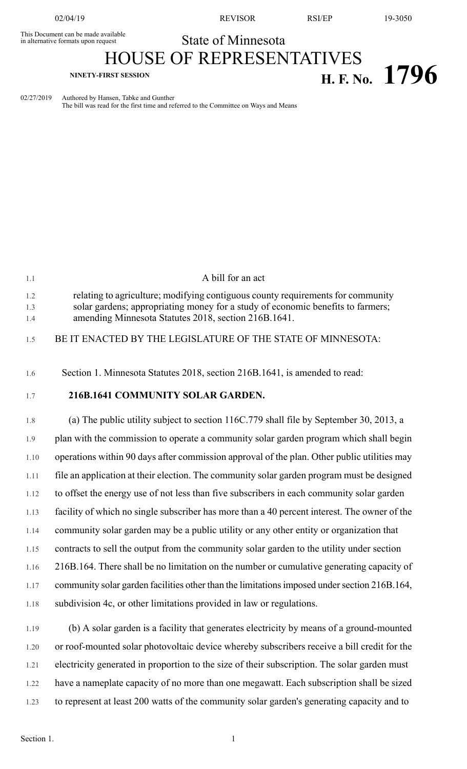This Document can be made available<br>
in alternative formats upon request<br>
State of Minnesota in alternative formats upon request

02/04/19 REVISOR RSI/EP 19-3050

HOUSE OF REPRESENTATIVES

## **NINETY-FIRST SESSION H. F. No. 1796**

02/27/2019 Authored by Hansen, Tabke and Gunther The bill was read for the first time and referred to the Committee on Ways and Means

| 1.1               | A bill for an act                                                                                                                                                                                                          |
|-------------------|----------------------------------------------------------------------------------------------------------------------------------------------------------------------------------------------------------------------------|
| 1.2<br>1.3<br>1.4 | relating to agriculture; modifying contiguous county requirements for community<br>solar gardens; appropriating money for a study of economic benefits to farmers;<br>amending Minnesota Statutes 2018, section 216B.1641. |
| 1.5               | BE IT ENACTED BY THE LEGISLATURE OF THE STATE OF MINNESOTA:                                                                                                                                                                |
| 1.6               | Section 1. Minnesota Statutes 2018, section 216B.1641, is amended to read:                                                                                                                                                 |
| 1.7               | 216B.1641 COMMUNITY SOLAR GARDEN.                                                                                                                                                                                          |
| 1.8               | (a) The public utility subject to section 116C.779 shall file by September 30, 2013, a                                                                                                                                     |
| 1.9               | plan with the commission to operate a community solar garden program which shall begin                                                                                                                                     |
| 1.10              | operations within 90 days after commission approval of the plan. Other public utilities may                                                                                                                                |
| 1.11              | file an application at their election. The community solar garden program must be designed                                                                                                                                 |
| 1.12              | to offset the energy use of not less than five subscribers in each community solar garden                                                                                                                                  |
| 1.13              | facility of which no single subscriber has more than a 40 percent interest. The owner of the                                                                                                                               |
| 1.14              | community solar garden may be a public utility or any other entity or organization that                                                                                                                                    |
| 1.15              | contracts to sell the output from the community solar garden to the utility under section                                                                                                                                  |
| 1.16              | 216B.164. There shall be no limitation on the number or cumulative generating capacity of                                                                                                                                  |
| 1.17              | community solar garden facilities other than the limitations imposed under section 216B.164,                                                                                                                               |
| 1.18              | subdivision 4c, or other limitations provided in law or regulations.                                                                                                                                                       |
|                   |                                                                                                                                                                                                                            |

1.19 (b) A solar garden is a facility that generates electricity by means of a ground-mounted 1.20 or roof-mounted solar photovoltaic device whereby subscribers receive a bill credit for the 1.21 electricity generated in proportion to the size of their subscription. The solar garden must 1.22 have a nameplate capacity of no more than one megawatt. Each subscription shall be sized 1.23 to represent at least 200 watts of the community solar garden's generating capacity and to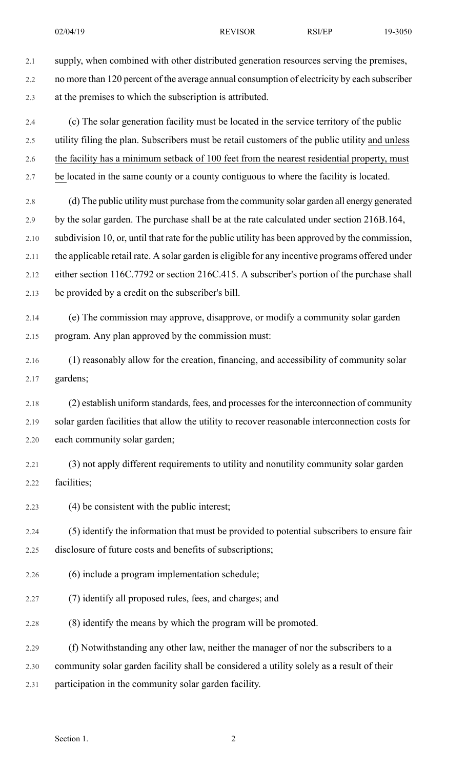2.1 supply, when combined with other distributed generation resources serving the premises,

- 2.2 no more than 120 percent of the average annual consumption of electricity by each subscriber 2.3 at the premises to which the subscription is attributed.
- 2.4 (c) The solar generation facility must be located in the service territory of the public 2.5 utility filing the plan. Subscribers must be retail customers of the public utility and unless
- 2.6 the facility has a minimum setback of 100 feet from the nearest residential property, must
- 2.7 be located in the same county or a county contiguous to where the facility is located.
- 2.8 (d) The public utility must purchase from the community solar garden all energy generated 2.9 by the solar garden. The purchase shall be at the rate calculated under section 216B.164, 2.10 subdivision 10, or, until that rate for the public utility has been approved by the commission, 2.11 the applicable retail rate. A solar garden is eligible for any incentive programs offered under 2.12 either section 116C.7792 or section 216C.415. A subscriber's portion of the purchase shall 2.13 be provided by a credit on the subscriber's bill.
- 2.14 (e) The commission may approve, disapprove, or modify a community solar garden 2.15 program. Any plan approved by the commission must:
- 2.16 (1) reasonably allow for the creation, financing, and accessibility of community solar 2.17 gardens;
- 2.18 (2) establish uniform standards, fees, and processes for the interconnection of community 2.19 solar garden facilities that allow the utility to recover reasonable interconnection costs for 2.20 each community solar garden;
- 2.21 (3) not apply different requirements to utility and nonutility community solar garden 2.22 facilities;
- 2.23 (4) be consistent with the public interest;
- 2.24 (5) identify the information that must be provided to potential subscribers to ensure fair 2.25 disclosure of future costs and benefits of subscriptions;
- 2.26 (6) include a program implementation schedule;
- 2.27 (7) identify all proposed rules, fees, and charges; and
- 2.28 (8) identify the means by which the program will be promoted.
- 2.29 (f) Notwithstanding any other law, neither the manager of nor the subscribers to a
- 2.30 community solar garden facility shall be considered a utility solely as a result of their
- 2.31 participation in the community solar garden facility.